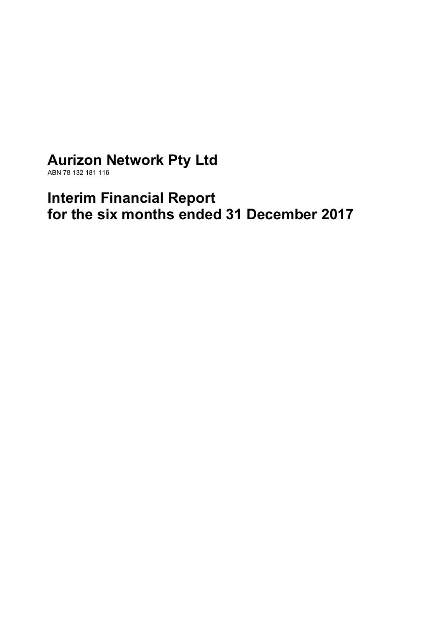# **Aurizon Network Pty Ltd**

ABN 78 132 181 116

# **Interim Financial Report for the six months ended 31 December 2017**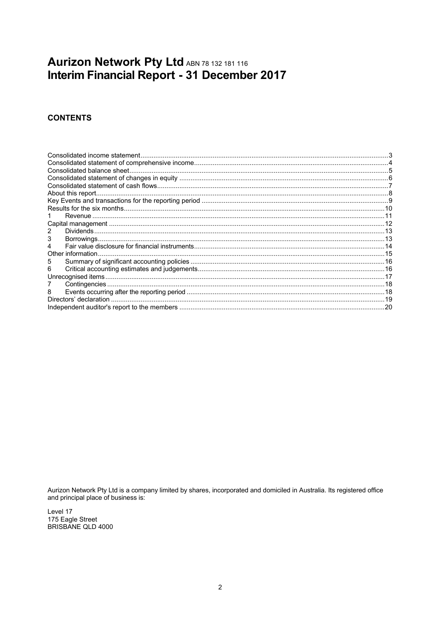## Aurizon Network Pty Ltd ABN 78 132 181 116 Interim Financial Report - 31 December 2017

## **CONTENTS**

| Other information. |  |
|--------------------|--|
| 5                  |  |
| 6                  |  |
|                    |  |
|                    |  |
| 8                  |  |
|                    |  |
|                    |  |

Aurizon Network Pty Ltd is a company limited by shares, incorporated and domiciled in Australia. Its registered office and principal place of business is:

Level 17 175 Eagle Street BRISBANE QLD 4000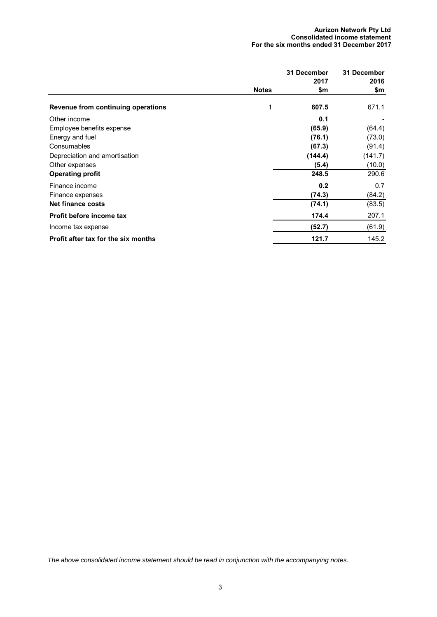#### **Aurizon Network Pty Ltd Consolidated income statement For the six months ended 31 December 2017**

|                                           |              | 31 December | 31 December |
|-------------------------------------------|--------------|-------------|-------------|
|                                           | <b>Notes</b> | 2017<br>\$m | 2016<br>\$m |
| <b>Revenue from continuing operations</b> | 1            | 607.5       | 671.1       |
| Other income                              |              | 0.1         |             |
| Employee benefits expense                 |              | (65.9)      | (64.4)      |
| Energy and fuel                           |              | (76.1)      | (73.0)      |
| Consumables                               |              | (67.3)      | (91.4)      |
| Depreciation and amortisation             |              | (144.4)     | (141.7)     |
| Other expenses                            |              | (5.4)       | (10.0)      |
| <b>Operating profit</b>                   |              | 248.5       | 290.6       |
| Finance income                            |              | 0.2         | 0.7         |
| Finance expenses                          |              | (74.3)      | (84.2)      |
| <b>Net finance costs</b>                  |              | (74.1)      | (83.5)      |
| Profit before income tax                  |              | 174.4       | 207.1       |
| Income tax expense                        |              | (52.7)      | (61.9)      |
| Profit after tax for the six months       |              | 121.7       | 145.2       |

*The above consolidated income statement should be read in conjunction with the accompanying notes.*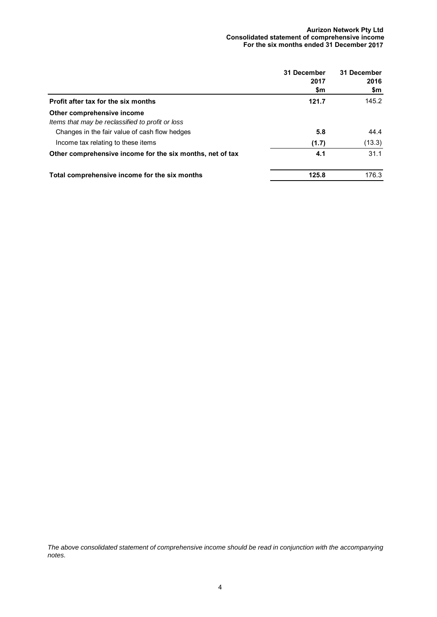#### **Aurizon Network Pty Ltd Consolidated statement of comprehensive income For the six months ended 31 December 2017**

|                                                                                | 31 December<br>2017<br>\$m | 31 December<br>2016<br>\$m |
|--------------------------------------------------------------------------------|----------------------------|----------------------------|
| Profit after tax for the six months                                            | 121.7                      | 145.2                      |
| Other comprehensive income<br>Items that may be reclassified to profit or loss |                            |                            |
| Changes in the fair value of cash flow hedges                                  | 5.8                        | 44.4                       |
| Income tax relating to these items                                             | (1.7)                      | (13.3)                     |
| Other comprehensive income for the six months, net of tax                      | 4.1                        | 31.1                       |
| Total comprehensive income for the six months                                  | 125.8                      | 176.3                      |

*The above consolidated statement of comprehensive income should be read in conjunction with the accompanying notes.*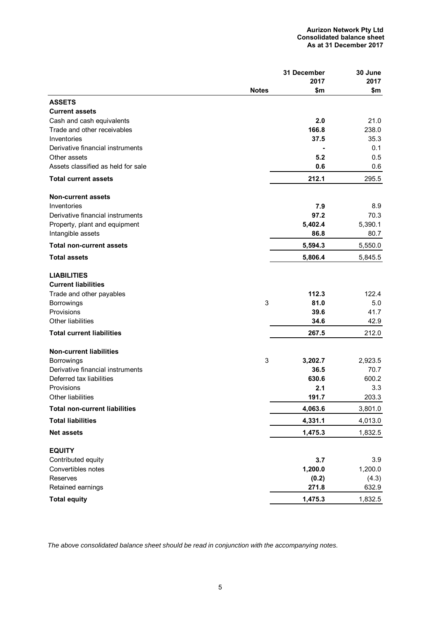|                                      |              | 31 December | 30 June |
|--------------------------------------|--------------|-------------|---------|
|                                      |              | 2017        | 2017    |
|                                      | <b>Notes</b> | \$m         | \$m     |
| <b>ASSETS</b>                        |              |             |         |
| <b>Current assets</b>                |              |             |         |
| Cash and cash equivalents            |              | 2.0         | 21.0    |
| Trade and other receivables          |              | 166.8       | 238.0   |
| Inventories                          |              | 37.5        | 35.3    |
| Derivative financial instruments     |              |             | 0.1     |
| Other assets                         |              | 5.2         | 0.5     |
| Assets classified as held for sale   |              | 0.6         | 0.6     |
| <b>Total current assets</b>          |              | 212.1       | 295.5   |
| <b>Non-current assets</b>            |              |             |         |
| Inventories                          |              | 7.9         | 8.9     |
| Derivative financial instruments     |              | 97.2        | 70.3    |
| Property, plant and equipment        |              | 5,402.4     | 5,390.1 |
| Intangible assets                    |              | 86.8        | 80.7    |
| <b>Total non-current assets</b>      |              | 5,594.3     | 5,550.0 |
| <b>Total assets</b>                  |              | 5,806.4     | 5,845.5 |
| <b>LIABILITIES</b>                   |              |             |         |
| <b>Current liabilities</b>           |              |             |         |
| Trade and other payables             |              | 112.3       | 122.4   |
| Borrowings                           | 3            | 81.0        | 5.0     |
| Provisions                           |              | 39.6        | 41.7    |
| Other liabilities                    |              | 34.6        | 42.9    |
| <b>Total current liabilities</b>     |              | 267.5       | 212.0   |
| <b>Non-current liabilities</b>       |              |             |         |
| <b>Borrowings</b>                    | 3            | 3,202.7     | 2,923.5 |
| Derivative financial instruments     |              | 36.5        | 70.7    |
| Deferred tax liabilities             |              | 630.6       | 600.2   |
| Provisions                           |              | 2.1         | 3.3     |
| Other liabilities                    |              | 191.7       | 203.3   |
| <b>Total non-current liabilities</b> |              | 4,063.6     | 3,801.0 |
| <b>Total liabilities</b>             |              | 4,331.1     | 4,013.0 |
| <b>Net assets</b>                    |              | 1,475.3     | 1,832.5 |
| <b>EQUITY</b>                        |              |             |         |
| Contributed equity                   |              | 3.7         | 3.9     |
| Convertibles notes                   |              | 1,200.0     | 1,200.0 |
| Reserves                             |              | (0.2)       | (4.3)   |
| Retained earnings                    |              | 271.8       | 632.9   |
| <b>Total equity</b>                  |              | 1,475.3     | 1,832.5 |

*The above consolidated balance sheet should be read in conjunction with the accompanying notes.*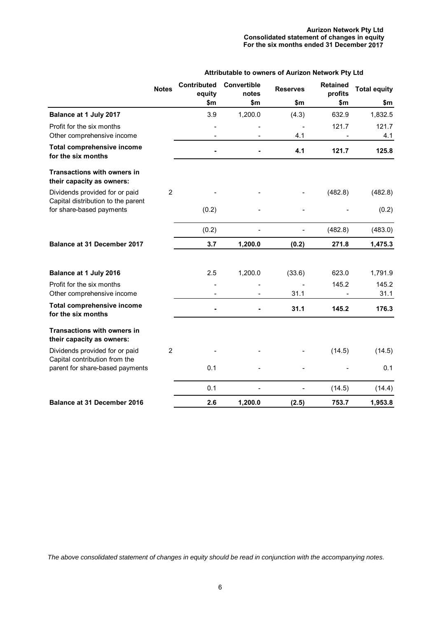#### **Aurizon Network Pty Ltd Consolidated statement of changes in equity For the six months ended 31 December 2017**

| Attributable to owners of Aurizon Network Pty Ltd |  |  |  |  |  |  |  |
|---------------------------------------------------|--|--|--|--|--|--|--|
|---------------------------------------------------|--|--|--|--|--|--|--|

|                                                                      | <b>Notes</b>   | <b>Contributed</b><br>equity | Convertible<br>notes | <b>Reserves</b> | <b>Retained</b><br>profits | <b>Total equity</b> |
|----------------------------------------------------------------------|----------------|------------------------------|----------------------|-----------------|----------------------------|---------------------|
|                                                                      |                | \$m                          | \$m                  | \$m             | \$m                        | \$m                 |
| Balance at 1 July 2017                                               |                | 3.9                          | 1,200.0              | (4.3)           | 632.9                      | 1,832.5             |
| Profit for the six months<br>Other comprehensive income              |                |                              |                      | 4.1             | 121.7                      | 121.7<br>4.1        |
| Total comprehensive income<br>for the six months                     |                |                              |                      | 4.1             | 121.7                      | 125.8               |
| <b>Transactions with owners in</b><br>their capacity as owners:      |                |                              |                      |                 |                            |                     |
| Dividends provided for or paid<br>Capital distribution to the parent | $\overline{2}$ |                              |                      |                 | (482.8)                    | (482.8)             |
| for share-based payments                                             |                | (0.2)                        |                      |                 |                            | (0.2)               |
|                                                                      |                | (0.2)                        | $\overline{a}$       |                 | (482.8)                    | (483.0)             |
| <b>Balance at 31 December 2017</b>                                   |                | 3.7                          | 1,200.0              | (0.2)           | 271.8                      | 1,475.3             |
| Balance at 1 July 2016                                               |                | 2.5                          | 1,200.0              | (33.6)          | 623.0                      | 1,791.9             |
| Profit for the six months<br>Other comprehensive income              |                |                              |                      | 31.1            | 145.2                      | 145.2<br>31.1       |
| Total comprehensive income<br>for the six months                     |                |                              |                      | 31.1            | 145.2                      | 176.3               |
| <b>Transactions with owners in</b><br>their capacity as owners:      |                |                              |                      |                 |                            |                     |
| Dividends provided for or paid<br>Capital contribution from the      | $\overline{2}$ |                              |                      |                 | (14.5)                     | (14.5)              |
| parent for share-based payments                                      |                | 0.1                          |                      |                 |                            | 0.1                 |
|                                                                      |                | 0.1                          | $\overline{a}$       | -               | (14.5)                     | (14.4)              |
| <b>Balance at 31 December 2016</b>                                   |                | 2.6                          | 1,200.0              | (2.5)           | 753.7                      | 1,953.8             |

*The above consolidated statement of changes in equity should be read in conjunction with the accompanying notes.*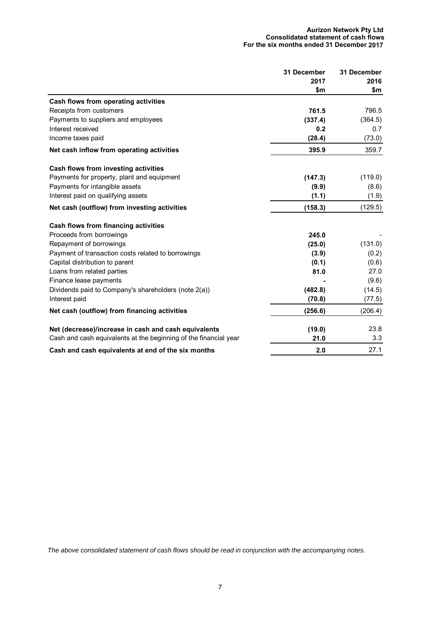#### **Aurizon Network Pty Ltd Consolidated statement of cash flows For the six months ended 31 December 2017**

|                                                                  | 31 December | 31 December |
|------------------------------------------------------------------|-------------|-------------|
|                                                                  | 2017        | 2016        |
|                                                                  | \$m         | \$m         |
| Cash flows from operating activities                             |             |             |
| Receipts from customers                                          | 761.5       | 796.5       |
| Payments to suppliers and employees                              | (337.4)     | (364.5)     |
| Interest received                                                | 0.2         | 0.7         |
| Income taxes paid                                                | (28.4)      | (73.0)      |
| Net cash inflow from operating activities                        | 395.9       | 359.7       |
| Cash flows from investing activities                             |             |             |
| Payments for property, plant and equipment                       | (147.3)     | (119.0)     |
| Payments for intangible assets                                   | (9.9)       | (8.6)       |
| Interest paid on qualifying assets                               | (1.1)       | (1.9)       |
| Net cash (outflow) from investing activities                     | (158.3)     | (129.5)     |
| Cash flows from financing activities                             |             |             |
| Proceeds from borrowings                                         | 245.0       |             |
| Repayment of borrowings                                          | (25.0)      | (131.0)     |
| Payment of transaction costs related to borrowings               | (3.9)       | (0.2)       |
| Capital distribution to parent                                   | (0.1)       | (0.6)       |
| Loans from related parties                                       | 81.0        | 27.0        |
| Finance lease payments                                           |             | (9.6)       |
| Dividends paid to Company's shareholders (note 2(a))             | (482.8)     | (14.5)      |
| Interest paid                                                    | (70.8)      | (77.5)      |
| Net cash (outflow) from financing activities                     | (256.6)     | (206.4)     |
| Net (decrease)/increase in cash and cash equivalents             | (19.0)      | 23.8        |
| Cash and cash equivalents at the beginning of the financial year | 21.0        | 3.3         |
| Cash and cash equivalents at end of the six months               | 2.0         | 27.1        |

*The above consolidated statement of cash flows should be read in conjunction with the accompanying notes.*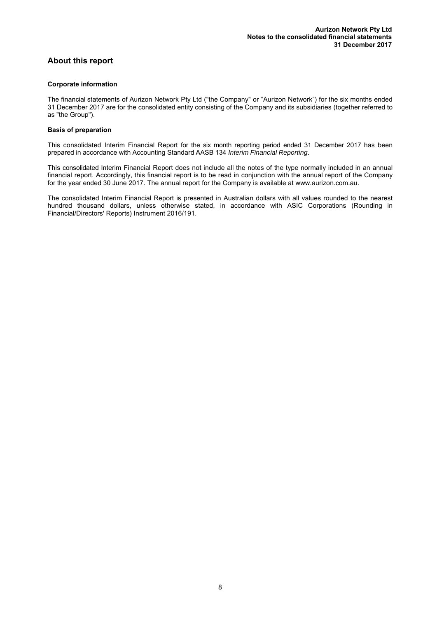## **About this report**

#### **Corporate information**

The financial statements of Aurizon Network Pty Ltd ("the Company" or "Aurizon Network") for the six months ended 31 December 2017 are for the consolidated entity consisting of the Company and its subsidiaries (together referred to as "the Group").

#### **Basis of preparation**

This consolidated Interim Financial Report for the six month reporting period ended 31 December 2017 has been prepared in accordance with Accounting Standard AASB 134 *Interim Financial Reporting*.

This consolidated Interim Financial Report does not include all the notes of the type normally included in an annual financial report. Accordingly, this financial report is to be read in conjunction with the annual report of the Company for the year ended 30 June 2017. The annual report for the Company is available at www.aurizon.com.au.

The consolidated Interim Financial Report is presented in Australian dollars with all values rounded to the nearest hundred thousand dollars, unless otherwise stated, in accordance with ASIC Corporations (Rounding in Financial/Directors' Reports) Instrument 2016/191.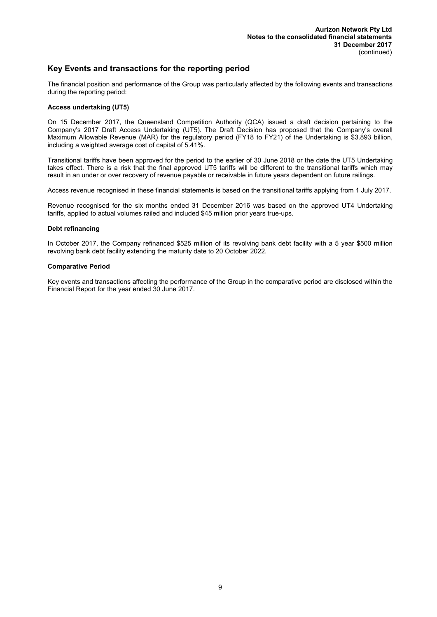## **Key Events and transactions for the reporting period**

The financial position and performance of the Group was particularly affected by the following events and transactions during the reporting period:

#### **Access undertaking (UT5)**

On 15 December 2017, the Queensland Competition Authority (QCA) issued a draft decision pertaining to the Company's 2017 Draft Access Undertaking (UT5). The Draft Decision has proposed that the Company's overall Maximum Allowable Revenue (MAR) for the regulatory period (FY18 to FY21) of the Undertaking is \$3.893 billion, including a weighted average cost of capital of 5.41%.

Transitional tariffs have been approved for the period to the earlier of 30 June 2018 or the date the UT5 Undertaking takes effect. There is a risk that the final approved UT5 tariffs will be different to the transitional tariffs which may result in an under or over recovery of revenue payable or receivable in future years dependent on future railings.

Access revenue recognised in these financial statements is based on the transitional tariffs applying from 1 July 2017.

Revenue recognised for the six months ended 31 December 2016 was based on the approved UT4 Undertaking tariffs, applied to actual volumes railed and included \$45 million prior years true-ups.

#### **Debt refinancing**

In October 2017, the Company refinanced \$525 million of its revolving bank debt facility with a 5 year \$500 million revolving bank debt facility extending the maturity date to 20 October 2022.

#### **Comparative Period**

Key events and transactions affecting the performance of the Group in the comparative period are disclosed within the Financial Report for the year ended 30 June 2017.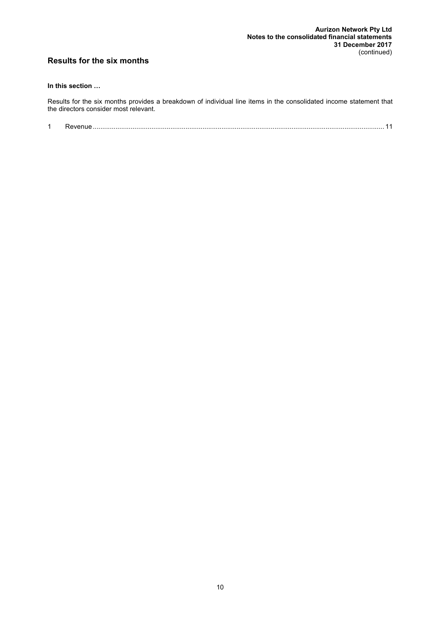## **Results for the six months**

## **In this section …**

Results for the six months provides a breakdown of individual line items in the consolidated income statement that the directors consider most relevant.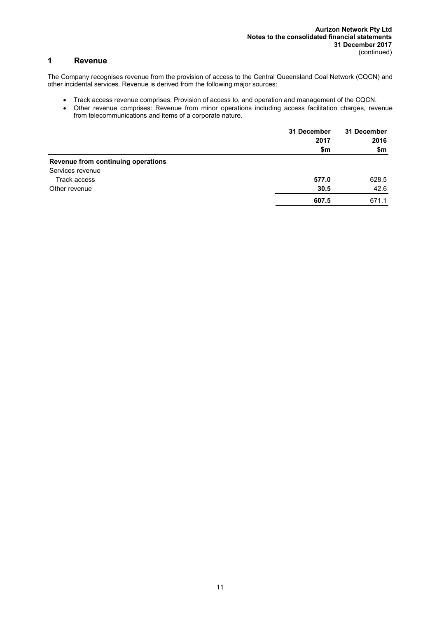## **1 Revenue**

The Company recognises revenue from the provision of access to the Central Queensland Coal Network (CQCN) and other incidental services. Revenue is derived from the following major sources:

- Track access revenue comprises: Provision of access to, and operation and management of the CQCN.
- Other revenue comprises: Revenue from minor operations including access facilitation charges, revenue from telecommunications and items of a corporate nature.

|                                    | 31 December<br>2017<br>\$m | 31 December<br>2016<br>\$m |
|------------------------------------|----------------------------|----------------------------|
| Revenue from continuing operations |                            |                            |
| Services revenue                   |                            |                            |
| Track access                       | 577.0                      | 628.5                      |
| Other revenue                      | 30.5                       | 42.6                       |
|                                    | 607.5                      | 671.1                      |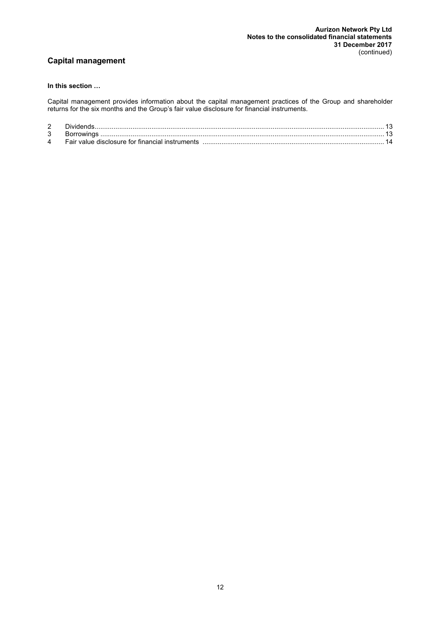## **Capital management**

#### **In this section …**

Capital management provides information about the capital management practices of the Group and shareholder returns for the six months and the Group's fair value disclosure for financial instruments.

| 2 |                                                 |  |
|---|-------------------------------------------------|--|
| 3 |                                                 |  |
| 4 | Fair value disclosure for financial instruments |  |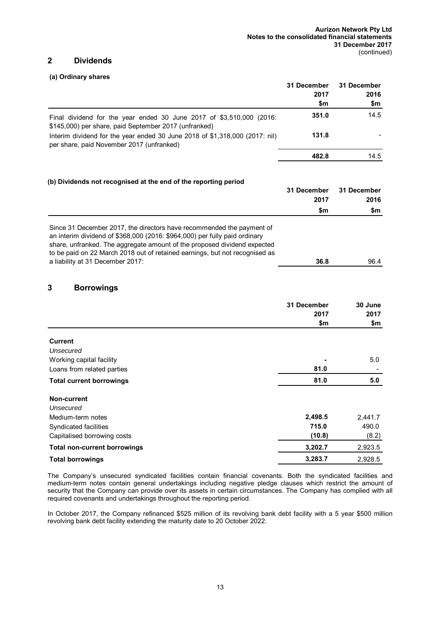## **2 Dividends**

#### **(a) Ordinary shares**

|                                                                                                                                                                                                                                                                                                                                                    | <b>31 December</b> | 31 December |
|----------------------------------------------------------------------------------------------------------------------------------------------------------------------------------------------------------------------------------------------------------------------------------------------------------------------------------------------------|--------------------|-------------|
|                                                                                                                                                                                                                                                                                                                                                    | 2017               | 2016        |
|                                                                                                                                                                                                                                                                                                                                                    | \$m                | \$m         |
| Final dividend for the year ended 30 June 2017 of \$3,510,000 (2016:<br>\$145,000) per share, paid September 2017 (unfranked)                                                                                                                                                                                                                      | 351.0              | 14.5        |
| Interim dividend for the year ended 30 June 2018 of \$1,318,000 (2017: nil)<br>per share, paid November 2017 (unfranked)                                                                                                                                                                                                                           | 131.8              |             |
|                                                                                                                                                                                                                                                                                                                                                    | 482.8              | 14.5        |
| (b) Dividends not recognised at the end of the reporting period                                                                                                                                                                                                                                                                                    |                    |             |
|                                                                                                                                                                                                                                                                                                                                                    | 31 December        | 31 December |
|                                                                                                                                                                                                                                                                                                                                                    | 2017               | 2016        |
|                                                                                                                                                                                                                                                                                                                                                    | \$m                | \$m         |
| Since 31 December 2017, the directors have recommended the payment of<br>an interim dividend of \$368,000 (2016: \$964,000) per fully paid ordinary<br>share, unfranked. The aggregate amount of the proposed dividend expected<br>to be paid on 22 March 2018 out of retained earnings, but not recognised as<br>a liability at 31 December 2017: | 36.8               | 96.4        |
| 3<br><b>Borrowings</b>                                                                                                                                                                                                                                                                                                                             |                    |             |
|                                                                                                                                                                                                                                                                                                                                                    | 31 December        | 30 June     |
|                                                                                                                                                                                                                                                                                                                                                    | 2017               | 2017        |
|                                                                                                                                                                                                                                                                                                                                                    | \$m                | \$m         |
|                                                                                                                                                                                                                                                                                                                                                    |                    |             |
| <b>Current</b>                                                                                                                                                                                                                                                                                                                                     |                    |             |
| Unsecured                                                                                                                                                                                                                                                                                                                                          |                    |             |
| Working capital facility                                                                                                                                                                                                                                                                                                                           | 81.0               | 5.0         |
| Loans from related parties                                                                                                                                                                                                                                                                                                                         |                    |             |
| <b>Total current borrowings</b>                                                                                                                                                                                                                                                                                                                    | 81.0               | 5.0         |
| <b>Non-current</b>                                                                                                                                                                                                                                                                                                                                 |                    |             |
| Unsecured                                                                                                                                                                                                                                                                                                                                          |                    |             |
| Medium-term notes                                                                                                                                                                                                                                                                                                                                  | 2,498.5            | 2,441.7     |
| Syndicated facilities                                                                                                                                                                                                                                                                                                                              | 715.0              | 490.0       |
| Capitalised borrowing costs                                                                                                                                                                                                                                                                                                                        | (10.8)             | (8.2)       |
| <b>Total non-current borrowings</b>                                                                                                                                                                                                                                                                                                                | 3,202.7            | 2,923.5     |
|                                                                                                                                                                                                                                                                                                                                                    |                    |             |

The Company's unsecured syndicated facilities contain financial covenants. Both the syndicated facilities and medium-term notes contain general undertakings including negative pledge clauses which restrict the amount of security that the Company can provide over its assets in certain circumstances. The Company has complied with all required covenants and undertakings throughout the reporting period.

In October 2017, the Company refinanced \$525 million of its revolving bank debt facility with a 5 year \$500 million revolving bank debt facility extending the maturity date to 20 October 2022.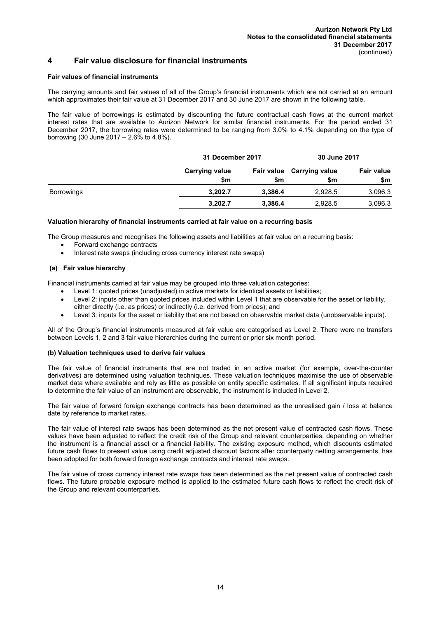## **4 Fair value disclosure for financial instruments**

#### **Fair values of financial instruments**

The carrying amounts and fair values of all of the Group's financial instruments which are not carried at an amount which approximates their fair value at 31 December 2017 and 30 June 2017 are shown in the following table.

The fair value of borrowings is estimated by discounting the future contractual cash flows at the current market interest rates that are available to Aurizon Network for similar financial instruments. For the period ended 31 December 2017, the borrowing rates were determined to be ranging from 3.0% to 4.1% depending on the type of borrowing (30 June 2017 – 2.6% to 4.8%).

|                   |                              | 31 December 2017 |                                  | 30 June 2017             |
|-------------------|------------------------------|------------------|----------------------------------|--------------------------|
|                   | <b>Carrying value</b><br>\$m | \$m              | Fair value Carrying value<br>\$m | <b>Fair value</b><br>\$m |
| <b>Borrowings</b> | 3.202.7                      | 3.386.4          | 2.928.5                          | 3,096.3                  |
|                   | 3,202.7                      | 3,386.4          | 2,928.5                          | 3,096.3                  |

#### **Valuation hierarchy of financial instruments carried at fair value on a recurring basis**

The Group measures and recognises the following assets and liabilities at fair value on a recurring basis:

- Forward exchange contracts
- Interest rate swaps (including cross currency interest rate swaps)

#### **(a) Fair value hierarchy**

Financial instruments carried at fair value may be grouped into three valuation categories:

- Level 1: quoted prices (unadjusted) in active markets for identical assets or liabilities;
- Level 2: inputs other than quoted prices included within Level 1 that are observable for the asset or liability,
- either directly (i.e. as prices) or indirectly (i.e. derived from prices); and
- Level 3: inputs for the asset or liability that are not based on observable market data (unobservable inputs).

All of the Group's financial instruments measured at fair value are categorised as Level 2. There were no transfers between Levels 1, 2 and 3 fair value hierarchies during the current or prior six month period.

#### **(b) Valuation techniques used to derive fair values**

The fair value of financial instruments that are not traded in an active market (for example, over-the-counter derivatives) are determined using valuation techniques. These valuation techniques maximise the use of observable market data where available and rely as little as possible on entity specific estimates. If all significant inputs required to determine the fair value of an instrument are observable, the instrument is included in Level 2.

The fair value of forward foreign exchange contracts has been determined as the unrealised gain / loss at balance date by reference to market rates.

The fair value of interest rate swaps has been determined as the net present value of contracted cash flows. These values have been adjusted to reflect the credit risk of the Group and relevant counterparties, depending on whether the instrument is a financial asset or a financial liability. The existing exposure method, which discounts estimated future cash flows to present value using credit adjusted discount factors after counterparty netting arrangements, has been adopted for both forward foreign exchange contracts and interest rate swaps.

The fair value of cross currency interest rate swaps has been determined as the net present value of contracted cash flows. The future probable exposure method is applied to the estimated future cash flows to reflect the credit risk of the Group and relevant counterparties.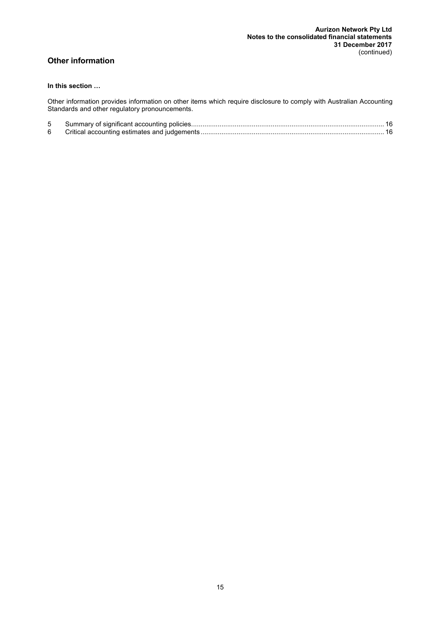## **Other information**

## **In this section …**

Other information provides information on other items which require disclosure to comply with Australian Accounting Standards and other regulatory pronouncements.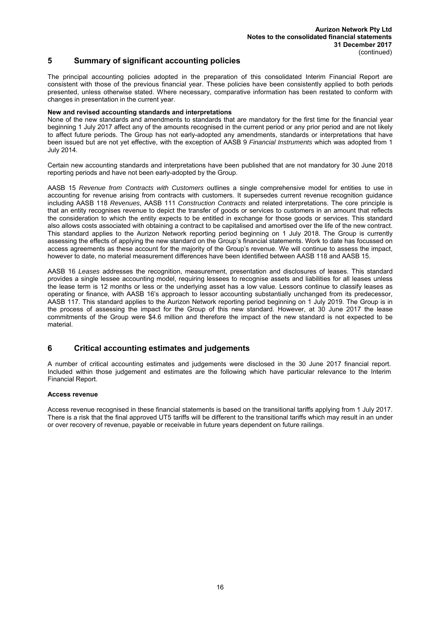## **5 Summary of significant accounting policies**

The principal accounting policies adopted in the preparation of this consolidated Interim Financial Report are consistent with those of the previous financial year. These policies have been consistently applied to both periods presented, unless otherwise stated. Where necessary, comparative information has been restated to conform with changes in presentation in the current year.

#### **New and revised accounting standards and interpretations**

None of the new standards and amendments to standards that are mandatory for the first time for the financial year beginning 1 July 2017 affect any of the amounts recognised in the current period or any prior period and are not likely to affect future periods. The Group has not early-adopted any amendments, standards or interpretations that have been issued but are not yet effective, with the exception of AASB 9 *Financial Instruments* which was adopted from 1 July 2014.

Certain new accounting standards and interpretations have been published that are not mandatory for 30 June 2018 reporting periods and have not been early-adopted by the Group.

AASB 15 *Revenue from Contracts with Customers* outlines a single comprehensive model for entities to use in accounting for revenue arising from contracts with customers. It supersedes current revenue recognition guidance including AASB 118 *Revenues*, AASB 111 *Construction Contracts* and related interpretations. The core principle is that an entity recognises revenue to depict the transfer of goods or services to customers in an amount that reflects the consideration to which the entity expects to be entitled in exchange for those goods or services. This standard also allows costs associated with obtaining a contract to be capitalised and amortised over the life of the new contract. This standard applies to the Aurizon Network reporting period beginning on 1 July 2018. The Group is currently assessing the effects of applying the new standard on the Group's financial statements. Work to date has focussed on access agreements as these account for the majority of the Group's revenue. We will continue to assess the impact, however to date, no material measurement differences have been identified between AASB 118 and AASB 15.

AASB 16 *Leases* addresses the recognition, measurement, presentation and disclosures of leases. This standard provides a single lessee accounting model, requiring lessees to recognise assets and liabilities for all leases unless the lease term is 12 months or less or the underlying asset has a low value. Lessors continue to classify leases as operating or finance, with AASB 16's approach to lessor accounting substantially unchanged from its predecessor, AASB 117. This standard applies to the Aurizon Network reporting period beginning on 1 July 2019. The Group is in the process of assessing the impact for the Group of this new standard. However, at 30 June 2017 the lease commitments of the Group were \$4.6 million and therefore the impact of the new standard is not expected to be material.

### **6 Critical accounting estimates and judgements**

A number of critical accounting estimates and judgements were disclosed in the 30 June 2017 financial report. Included within those judgement and estimates are the following which have particular relevance to the Interim Financial Report.

#### **Access revenue**

Access revenue recognised in these financial statements is based on the transitional tariffs applying from 1 July 2017. There is a risk that the final approved UT5 tariffs will be different to the transitional tariffs which may result in an under or over recovery of revenue, payable or receivable in future years dependent on future railings.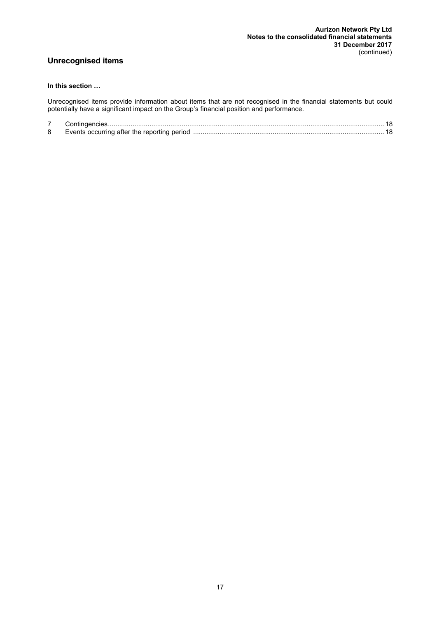## **Unrecognised items**

## **In this section …**

Unrecognised items provide information about items that are not recognised in the financial statements but could potentially have a significant impact on the Group's financial position and performance.

| 8 | Events occurring after the reporting period |  |
|---|---------------------------------------------|--|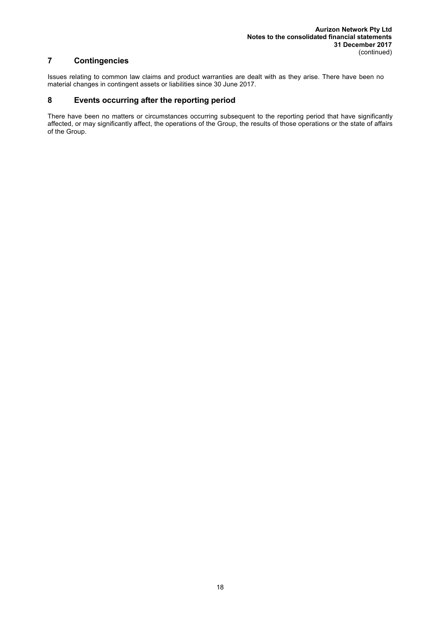## **7 Contingencies**

Issues relating to common law claims and product warranties are dealt with as they arise. There have been no material changes in contingent assets or liabilities since 30 June 2017.

## **8 Events occurring after the reporting period**

There have been no matters or circumstances occurring subsequent to the reporting period that have significantly affected, or may significantly affect, the operations of the Group, the results of those operations or the state of affairs of the Group.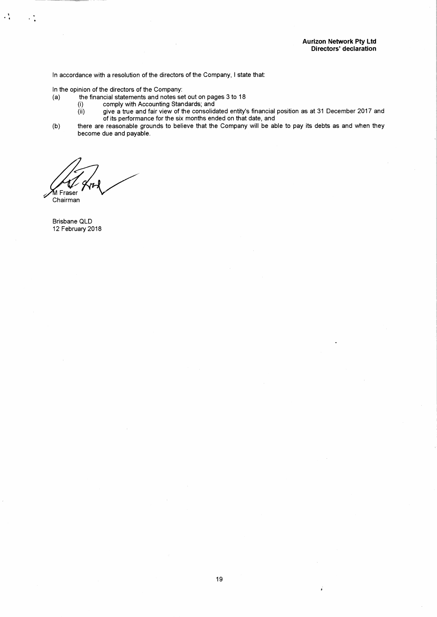In accordance with a resolution of the directors of the Company, I state that:

In the opinion of the directors of the Company:  $(a)$ 

- the financial statements and notes set out on pages 3 to 18
	- comply with Accounting Standards; and  $(i)$
	- give a true and fair view of the consolidated entity's financial position as at 31 December 2017 and  $(ii)$ of its performance for the six months ended on that date, and
- there are reasonable grounds to believe that the Company will be able to pay its debts as and when they<br>become due and payable.  $(b)$

M Fraser

Chairman

 $\cdot$  :

Brisbane QLD 12 February 2018